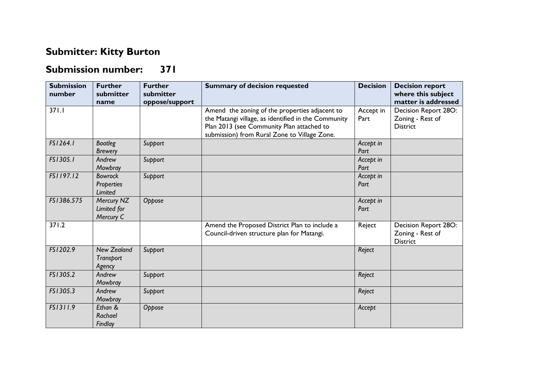## **Submitter: Kitty Burton**

## **Submission number: 371**

| <b>Submission</b><br>number | <b>Further</b><br>submitter<br>name       | <b>Further</b><br>submitter<br>oppose/support | <b>Summary of decision requested</b>                                                                                                                                                               | <b>Decision</b>   | <b>Decision report</b><br>where this subject<br>matter is addressed |
|-----------------------------|-------------------------------------------|-----------------------------------------------|----------------------------------------------------------------------------------------------------------------------------------------------------------------------------------------------------|-------------------|---------------------------------------------------------------------|
| 371.1                       |                                           |                                               | Amend the zoning of the properties adjacent to<br>the Matangi village, as identified in the Community<br>Plan 2013 (see Community Plan attached to<br>submission) from Rural Zone to Village Zone. | Accept in<br>Part | Decision Report 28O:<br>Zoning - Rest of<br><b>District</b>         |
| FS1264.1                    | <b>Bootleg</b><br><b>Brewery</b>          | Support                                       |                                                                                                                                                                                                    | Accept in<br>Part |                                                                     |
| FS1305.1                    | Andrew<br>Mowbray                         | Support                                       |                                                                                                                                                                                                    | Accept in<br>Part |                                                                     |
| FS1197.12                   | <b>Bowrock</b><br>Properties<br>Limited   | Support                                       |                                                                                                                                                                                                    | Accept in<br>Part |                                                                     |
| FS1386.575                  | Mercury NZ<br>Limited for<br>Mercury C    | Oppose                                        |                                                                                                                                                                                                    | Accept in<br>Part |                                                                     |
| $\frac{371.2}{ }$           |                                           |                                               | Amend the Proposed District Plan to include a<br>Council-driven structure plan for Matangi.                                                                                                        | Reject            | Decision Report 28O:<br>Zoning - Rest of<br><b>District</b>         |
| FS1202.9                    | <b>New Zealand</b><br>Transport<br>Agency | Support                                       |                                                                                                                                                                                                    | Reject            |                                                                     |
| FS1305.2                    | Andrew<br>Mowbray                         | Support                                       |                                                                                                                                                                                                    | Reject            |                                                                     |
| FS1305.3                    | Andrew<br>Mowbray                         | Support                                       |                                                                                                                                                                                                    | Reject            |                                                                     |
| FS1311.9                    | Ethan &<br>Rachael<br>Findlay             | Oppose                                        |                                                                                                                                                                                                    | Accept            |                                                                     |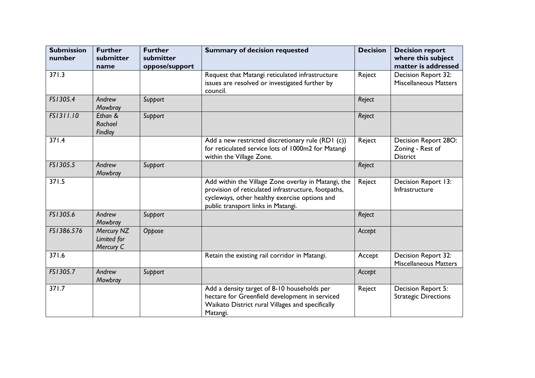| <b>Submission</b><br>number | <b>Further</b><br>submitter            | <b>Further</b><br>submitter | <b>Summary of decision requested</b>                                                                                                                                                              | <b>Decision</b> | <b>Decision report</b><br>where this subject                |
|-----------------------------|----------------------------------------|-----------------------------|---------------------------------------------------------------------------------------------------------------------------------------------------------------------------------------------------|-----------------|-------------------------------------------------------------|
|                             | name                                   | oppose/support              |                                                                                                                                                                                                   |                 | matter is addressed                                         |
| 371.3                       |                                        |                             | Request that Matangi reticulated infrastructure<br>issues are resolved or investigated further by<br>council.                                                                                     | Reject          | Decision Report 32:<br><b>Miscellaneous Matters</b>         |
| FS1305.4                    | Andrew<br>Mowbray                      | Support                     |                                                                                                                                                                                                   | Reject          |                                                             |
| FS1311.10                   | Ethan &<br>Rachael<br>Findlay          | Support                     |                                                                                                                                                                                                   | Reject          |                                                             |
| 371.4                       |                                        |                             | Add a new restricted discretionary rule (RD1 (c))<br>for reticulated service lots of 1000m2 for Matangi<br>within the Village Zone.                                                               | Reject          | Decision Report 28O:<br>Zoning - Rest of<br><b>District</b> |
| FS1305.5                    | Andrew<br>Mowbray                      | Support                     |                                                                                                                                                                                                   | Reject          |                                                             |
| 371.5                       |                                        |                             | Add within the Village Zone overlay in Matangi, the<br>provision of reticulated infrastructure, footpaths,<br>cycleways, other healthy exercise options and<br>public transport links in Matangi. | Reject          | Decision Report 13:<br>Infrastructure                       |
| FS1305.6                    | Andrew<br>Mowbray                      | Support                     |                                                                                                                                                                                                   | Reject          |                                                             |
| FS1386.576                  | Mercury NZ<br>Limited for<br>Mercury C | Oppose                      |                                                                                                                                                                                                   | Accept          |                                                             |
| 371.6                       |                                        |                             | Retain the existing rail corridor in Matangi.                                                                                                                                                     | Accept          | Decision Report 32:<br><b>Miscellaneous Matters</b>         |
| FS1305.7                    | Andrew<br>Mowbray                      | Support                     |                                                                                                                                                                                                   | Accept          |                                                             |
| 371.7                       |                                        |                             | Add a density target of 8-10 households per<br>hectare for Greenfield development in serviced<br>Waikato District rural Villages and specifically<br>Matangi.                                     | Reject          | Decision Report 5:<br><b>Strategic Directions</b>           |